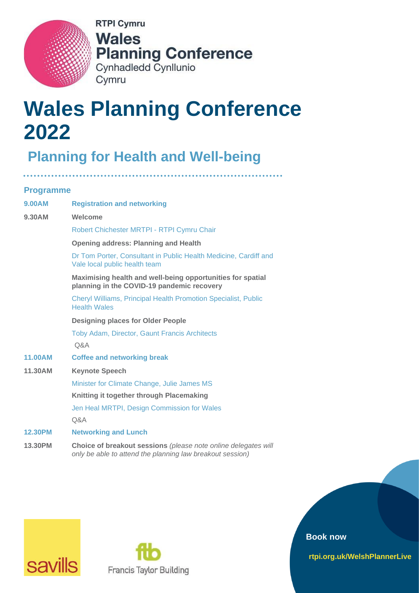

**RTPI Cymru Wales Planning Conference** Cynhadledd Cynllunio Cymru

# **Wales Planning Conference 2022**

# **Planning for Health and Well-being**

**Programme**

| <b>9.00AM</b>  | <b>Registration and networking</b>                                                                                          |
|----------------|-----------------------------------------------------------------------------------------------------------------------------|
| 9.30AM         | Welcome                                                                                                                     |
|                | Robert Chichester MRTPI - RTPI Cymru Chair                                                                                  |
|                | <b>Opening address: Planning and Health</b>                                                                                 |
|                | Dr Tom Porter, Consultant in Public Health Medicine, Cardiff and<br>Vale local public health team                           |
|                | Maximising health and well-being opportunities for spatial<br>planning in the COVID-19 pandemic recovery                    |
|                | <b>Cheryl Williams, Principal Health Promotion Specialist, Public</b><br><b>Health Wales</b>                                |
|                | <b>Designing places for Older People</b>                                                                                    |
|                | <b>Toby Adam, Director, Gaunt Francis Architects</b>                                                                        |
|                | Q&A                                                                                                                         |
| <b>11.00AM</b> | <b>Coffee and networking break</b>                                                                                          |
| 11.30AM        | <b>Keynote Speech</b>                                                                                                       |
|                | Minister for Climate Change, Julie James MS                                                                                 |
|                | Knitting it together through Placemaking                                                                                    |
|                | Jen Heal MRTPI, Design Commission for Wales                                                                                 |
|                | Q&A                                                                                                                         |
| <b>12.30PM</b> | <b>Networking and Lunch</b>                                                                                                 |
| 13.30PM        | Choice of breakout sessions (please note online delegates will<br>only be able to attend the planning law breakout session) |





**Book now**

**rtpi.org.uk/WelshPlannerLive**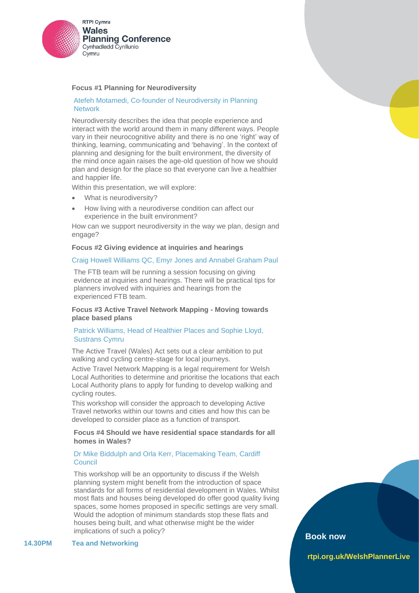

#### **Focus #1 Planning for Neurodiversity**

#### Atefeh Motamedi, Co-founder of Neurodiversity in Planning **Network**

Neurodiversity describes the idea that people experience and interact with the world around them in many different ways. People vary in their neurocognitive ability and there is no one 'right' way of thinking, learning, communicating and 'behaving'. In the context of planning and designing for the built environment, the diversity of the mind once again raises the age-old question of how we should plan and design for the place so that everyone can live a healthier and happier life.

Within this presentation, we will explore:

- What is neurodiversity?
- How living with a neurodiverse condition can affect our experience in the built environment?

How can we support neurodiversity in the way we plan, design and engage?

#### **Focus #2 Giving evidence at inquiries and hearings**

#### Craig Howell Williams QC, Emyr Jones and Annabel Graham Paul

The FTB team will be running a session focusing on giving evidence at inquiries and hearings. There will be practical tips for planners involved with inquiries and hearings from the experienced FTB team.

#### **Focus #3 Active Travel Network Mapping - Moving towards place based plans**

#### Patrick Williams, Head of Healthier Places and Sophie Lloyd, Sustrans Cymru

The Active Travel (Wales) Act sets out a clear ambition to put walking and cycling centre-stage for local journeys.

Active Travel Network Mapping is a legal requirement for Welsh Local Authorities to determine and prioritise the locations that each Local Authority plans to apply for funding to develop walking and cycling routes.

This workshop will consider the approach to developing Active Travel networks within our towns and cities and how this can be developed to consider place as a function of transport.

#### **Focus #4 Should we have residential space standards for all homes in Wales?**

# Dr Mike Biddulph and Orla Kerr, Placemaking Team, Cardiff **Council**

This workshop will be an opportunity to discuss if the Welsh planning system might benefit from the introduction of space standards for all forms of residential development in Wales. Whilst most flats and houses being developed do offer good quality living spaces, some homes proposed in specific settings are very small. Would the adoption of minimum standards stop these flats and houses being built, and what otherwise might be the wider implications of such a policy?

**14.30PM Tea and Networking** 

# **Book now**

**rtpi.org.uk/WelshPlannerLive**